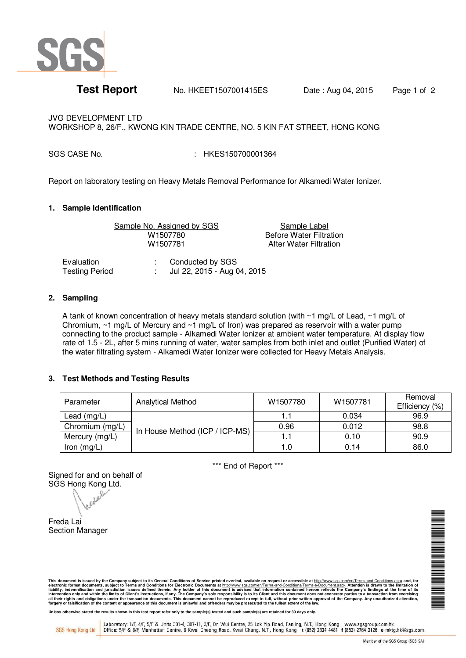

**Test Report** No. HKEET1507001415ES Date: Aug 04, 2015 Page 1 of 2

JVG DEVELOPMENT LTD WORKSHOP 8, 26/F., KWONG KIN TRADE CENTRE, NO. 5 KIN FAT STREET, HONG KONG

SGS CASE No.  $\cdot$  : HKES150700001364

Report on laboratory testing on Heavy Metals Removal Performance for Alkamedi Water Ionizer.

## **1. Sample Identification**

Sample No. Assigned by SGS<br>
W1507780 Before Water Filtra

W1507780 Before Water Filtration<br>
W1507781 After Water Filtration **After Water Filtration** 

Evaluation : Conducted by SGS<br>
Testing Period : Jul 22, 2015 - Aug ( Jul 22, 2015 - Aug 04, 2015

## **2. Sampling**

A tank of known concentration of heavy metals standard solution (with ~1 mg/L of Lead, ~1 mg/L of Chromium, ~1 mg/L of Mercury and ~1 mg/L of Iron) was prepared as reservoir with a water pump connecting to the product sample - Alkamedi Water Ionizer at ambient water temperature. At display flow rate of 1.5 - 2L, after 5 mins running of water, water samples from both inlet and outlet (Purified Water) of the water filtrating system - Alkamedi Water Ionizer were collected for Heavy Metals Analysis.

## **3. Test Methods and Testing Results**

| Parameter       | <b>Analytical Method</b>       | W1507780 | W1507781 | Removal<br>Efficiency (%) |
|-----------------|--------------------------------|----------|----------|---------------------------|
| Lead $(mg/L)$   | In House Method (ICP / ICP-MS) |          | 0.034    | 96.9                      |
| Chromium (mg/L) |                                | 0.96     | 0.012    | 98.8                      |
| Mercury (mg/L)  |                                |          | 0.10     | 90.9                      |
| Iron $(mg/L)$   |                                | 1.0      | 0.14     | 86.0                      |

\*\*\* End of Report \*\*\*

Signed for and on behalf of

SGS Hong Kong Ltd.

Freda Lai Section Manager ▊▊▊▊▊▊▊▊▊▊

This document is issued by the Company subject to its General Conditions of Service printed overleaf, available on request or accessible at http://www.scs.com/en/Terms-and-Conditions.aspx and, for electronic formation con

Unless otherwise stated the results shown in this test report refer only to the sample(s) tested and such sample(s) are retained for 30 days only

SGS Hong Kong Ltd.

Laboratory: 1/F, 4/F, 5/F & Units 301-4, 307-11, 3/F, On Wui Centre, 25 Lok Yip Road, Fanling, N.T., Hong Kong www.sgsgroup.com.hk<br>Office: 5/F & 8/F, Manhattan Centre, 8 Kwai Cheong Road, Kwai Chung, N.T., Hong Kong t (852